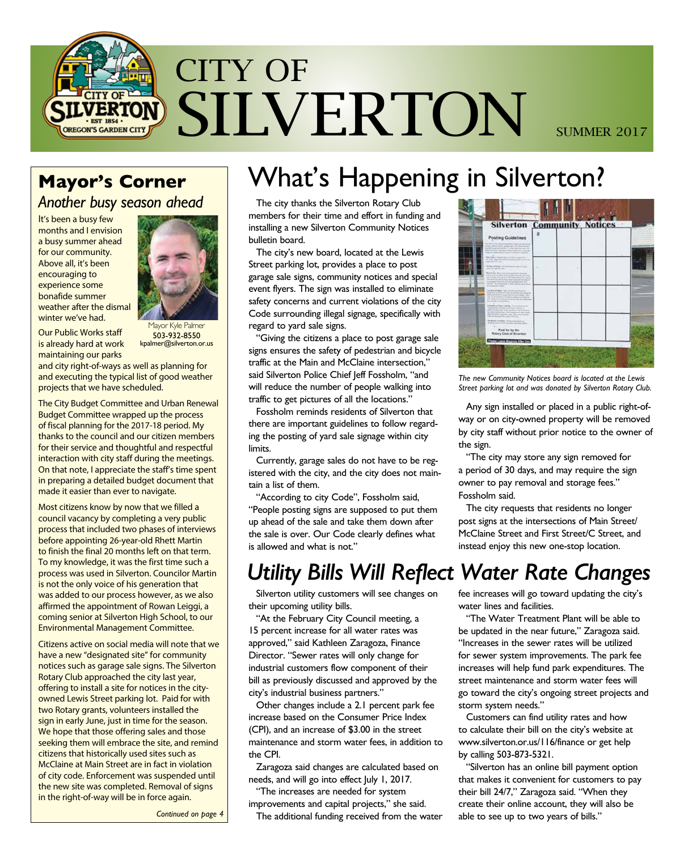

*Another busy season ahead*

It's been a busy few months and I envision a busy summer ahead for our community. Above all, it's been encouraging to experience some bonafide summer weather after the dismal winter we've had.



Our Public Works staff is already hard at work maintaining our parks

Mayor Kyle Palmer 503-932-8550 kpalmer@silverton.or.us

and city right-of-ways as well as planning for and executing the typical list of good weather projects that we have scheduled.

The City Budget Committee and Urban Renewal Budget Committee wrapped up the process of fiscal planning for the 2017-18 period. My thanks to the council and our citizen members for their service and thoughtful and respectful interaction with city staff during the meetings. On that note, I appreciate the staff's time spent in preparing a detailed budget document that made it easier than ever to navigate.

Most citizens know by now that we filled a council vacancy by completing a very public process that included two phases of interviews before appointing 26-year-old Rhett Martin to finish the final 20 months left on that term. To my knowledge, it was the first time such a process was used in Silverton. Councilor Martin is not the only voice of his generation that was added to our process however, as we also affirmed the appointment of Rowan Leiggi, a coming senior at Silverton High School, to our Environmental Management Committee.

Citizens active on social media will note that we have a new "designated site" for community notices such as garage sale signs. The Silverton Rotary Club approached the city last year, offering to install a site for notices in the cityowned Lewis Street parking lot. Paid for with two Rotary grants, volunteers installed the sign in early June, just in time for the season. We hope that those offering sales and those seeking them will embrace the site, and remind citizens that historically used sites such as McClaine at Main Street are in fact in violation of city code. Enforcement was suspended until the new site was completed. Removal of signs in the right-of-way will be in force again.

### Mayor's Corner | What's Happening in Silverton? The city thanks the Silverton Rotary Club

members for their time and effort in funding and installing a new Silverton Community Notices bulletin board.

The city's new board, located at the Lewis Street parking lot, provides a place to post garage sale signs, community notices and special event flyers. The sign was installed to eliminate safety concerns and current violations of the city Code surrounding illegal signage, specifically with regard to yard sale signs.

"Giving the citizens a place to post garage sale signs ensures the safety of pedestrian and bicycle traffic at the Main and McClaine intersection," said Silverton Police Chief Jeff Fossholm, "and will reduce the number of people walking into traffic to get pictures of all the locations."

Fossholm reminds residents of Silverton that there are important guidelines to follow regarding the posting of yard sale signage within city limits.

Currently, garage sales do not have to be registered with the city, and the city does not maintain a list of them.

"According to city Code", Fossholm said, "People posting signs are supposed to put them up ahead of the sale and take them down after the sale is over. Our Code clearly defines what is allowed and what is not."

## *Utility Bills Will Reflect Water Rate Changes*

Silverton utility customers will see changes on their upcoming utility bills.

"At the February City Council meeting, a 15 percent increase for all water rates was approved," said Kathleen Zaragoza, Finance Director. "Sewer rates will only change for industrial customers flow component of their bill as previously discussed and approved by the city's industrial business partners."

Other changes include a 2.1 percent park fee increase based on the Consumer Price Index (CPI), and an increase of \$3.00 in the street maintenance and storm water fees, in addition to the CPI.

Zaragoza said changes are calculated based on needs, and will go into effect July 1, 2017.

"The increases are needed for system

improvements and capital projects," she said. The additional funding received from the water



*The new Community Notices board is located at the Lewis Street parking lot and was donated by Silverton Rotary Club.*

Any sign installed or placed in a public right-ofway or on city-owned property will be removed by city staff without prior notice to the owner of the sign.

"The city may store any sign removed for a period of 30 days, and may require the sign owner to pay removal and storage fees." Fossholm said.

The city requests that residents no longer post signs at the intersections of Main Street/ McClaine Street and First Street/C Street, and instead enjoy this new one-stop location.

fee increases will go toward updating the city's water lines and facilities.

"The Water Treatment Plant will be able to be updated in the near future," Zaragoza said. "Increases in the sewer rates will be utilized for sewer system improvements. The park fee increases will help fund park expenditures. The street maintenance and storm water fees will go toward the city's ongoing street projects and storm system needs."

Customers can find utility rates and how to calculate their bill on the city's website at www.silverton.or.us/116/finance or get help by calling 503-873-5321.

"Silverton has an online bill payment option that makes it convenient for customers to pay their bill 24/7," Zaragoza said. "When they create their online account, they will also be able to see up to two years of bills."

*Continued on page 4*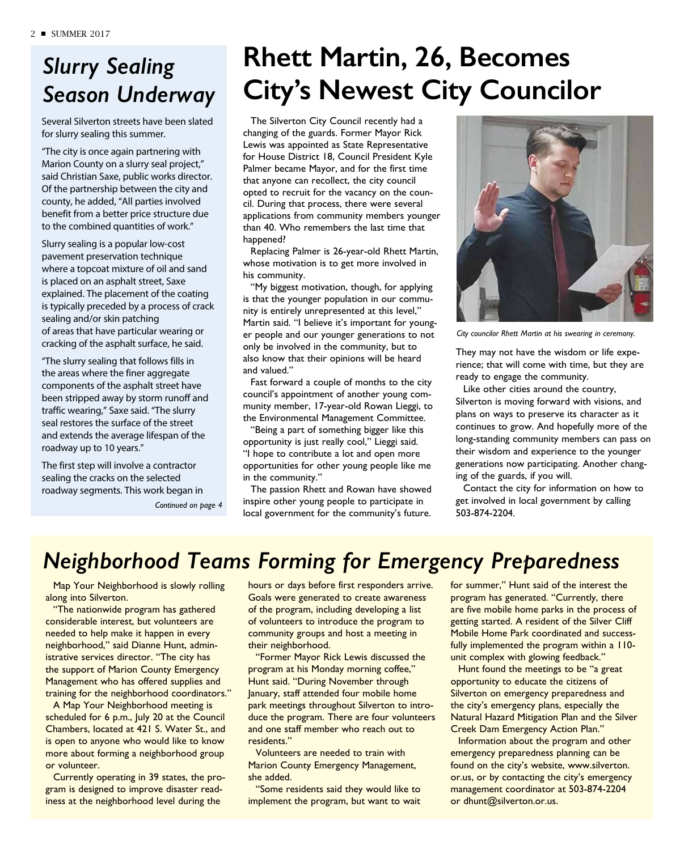# *Slurry Sealing Season Underway*

Several Silverton streets have been slated for slurry sealing this summer.

"The city is once again partnering with Marion County on a slurry seal project," said Christian Saxe, public works director. Of the partnership between the city and county, he added, "All parties involved benefit from a better price structure due to the combined quantities of work."

Slurry sealing is a popular low-cost pavement preservation technique where a topcoat mixture of oil and sand is placed on an asphalt street, Saxe explained. The placement of the coating is typically preceded by a process of crack sealing and/or skin patching of areas that have particular wearing or cracking of the asphalt surface, he said.

"The slurry sealing that follows fills in the areas where the finer aggregate components of the asphalt street have been stripped away by storm runoff and traffic wearing," Saxe said. "The slurry seal restores the surface of the street and extends the average lifespan of the roadway up to 10 years."

The first step will involve a contractor sealing the cracks on the selected roadway segments. This work began in

*Continued on page 4*

# **Rhett Martin, 26, Becomes City's Newest City Councilor**

The Silverton City Council recently had a changing of the guards. Former Mayor Rick Lewis was appointed as State Representative for House District 18, Council President Kyle Palmer became Mayor, and for the first time that anyone can recollect, the city council opted to recruit for the vacancy on the council. During that process, there were several applications from community members younger than 40. Who remembers the last time that happened?

Replacing Palmer is 26-year-old Rhett Martin, whose motivation is to get more involved in his community.

"My biggest motivation, though, for applying is that the younger population in our community is entirely unrepresented at this level," Martin said. "I believe it's important for younger people and our younger generations to not only be involved in the community, but to also know that their opinions will be heard and valued."

Fast forward a couple of months to the city council's appointment of another young community member, 17-year-old Rowan Lieggi, to the Environmental Management Committee.

"Being a part of something bigger like this opportunity is just really cool," Lieggi said. "I hope to contribute a lot and open more opportunities for other young people like me in the community."

The passion Rhett and Rowan have showed inspire other young people to participate in local government for the community's future.



*City councilor Rhett Martin at his swearing in ceremony.*

They may not have the wisdom or life experience; that will come with time, but they are ready to engage the community.

Like other cities around the country, Silverton is moving forward with visions, and plans on ways to preserve its character as it continues to grow. And hopefully more of the long-standing community members can pass on their wisdom and experience to the younger generations now participating. Another changing of the guards, if you will.

Contact the city for information on how to get involved in local government by calling 503-874-2204.

## *Neighborhood Teams Forming for Emergency Preparedness*

Map Your Neighborhood is slowly rolling along into Silverton.

"The nationwide program has gathered considerable interest, but volunteers are needed to help make it happen in every neighborhood," said Dianne Hunt, administrative services director. "The city has the support of Marion County Emergency Management who has offered supplies and training for the neighborhood coordinators."

A Map Your Neighborhood meeting is scheduled for 6 p.m., July 20 at the Council Chambers, located at 421 S. Water St., and is open to anyone who would like to know more about forming a neighborhood group or volunteer.

Currently operating in 39 states, the program is designed to improve disaster readiness at the neighborhood level during the

hours or days before first responders arrive. Goals were generated to create awareness of the program, including developing a list of volunteers to introduce the program to community groups and host a meeting in their neighborhood.

"Former Mayor Rick Lewis discussed the program at his Monday morning coffee," Hunt said. "During November through January, staff attended four mobile home park meetings throughout Silverton to introduce the program. There are four volunteers and one staff member who reach out to residents."

Volunteers are needed to train with Marion County Emergency Management, she added.

"Some residents said they would like to implement the program, but want to wait for summer," Hunt said of the interest the program has generated. "Currently, there are five mobile home parks in the process of getting started. A resident of the Silver Cliff Mobile Home Park coordinated and successfully implemented the program within a 110 unit complex with glowing feedback."

Hunt found the meetings to be "a great opportunity to educate the citizens of Silverton on emergency preparedness and the city's emergency plans, especially the Natural Hazard Mitigation Plan and the Silver Creek Dam Emergency Action Plan."

Information about the program and other emergency preparedness planning can be found on the city's website, www.silverton. or.us, or by contacting the city's emergency management coordinator at 503-874-2204 or dhunt@silverton.or.us.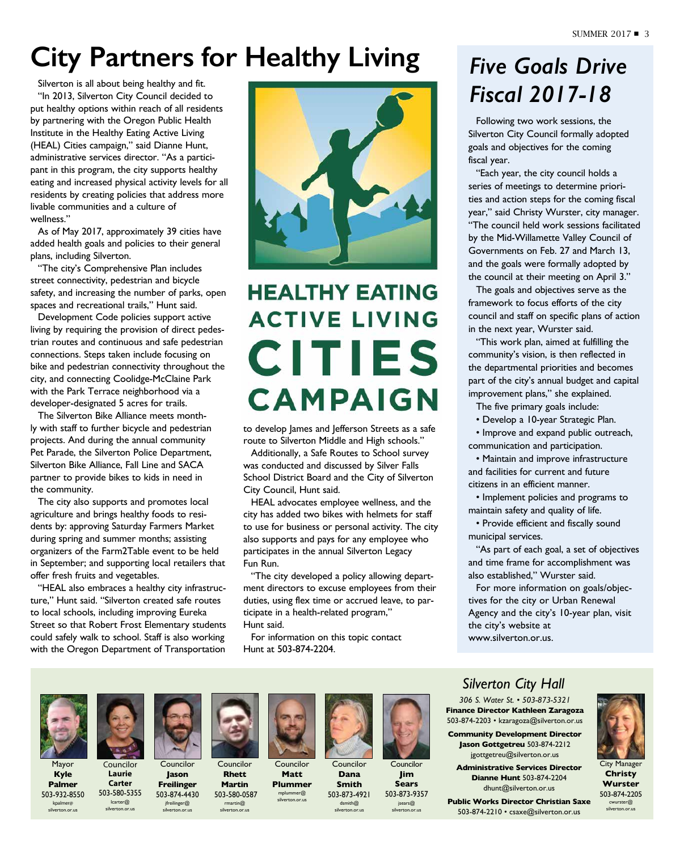# **City Partners for Healthy Living**

Silverton is all about being healthy and fit. "In 2013, Silverton City Council decided to put healthy options within reach of all residents by partnering with the Oregon Public Health Institute in the Healthy Eating Active Living (HEAL) Cities campaign," said Dianne Hunt, administrative services director. "As a participant in this program, the city supports healthy eating and increased physical activity levels for all residents by creating policies that address more livable communities and a culture of wellness."

As of May 2017, approximately 39 cities have added health goals and policies to their general plans, including Silverton.

"The city's Comprehensive Plan includes street connectivity, pedestrian and bicycle safety, and increasing the number of parks, open spaces and recreational trails," Hunt said.

Development Code policies support active living by requiring the provision of direct pedestrian routes and continuous and safe pedestrian connections. Steps taken include focusing on bike and pedestrian connectivity throughout the city, and connecting Coolidge-McClaine Park with the Park Terrace neighborhood via a developer-designated 5 acres for trails.

The Silverton Bike Alliance meets monthly with staff to further bicycle and pedestrian projects. And during the annual community Pet Parade, the Silverton Police Department, Silverton Bike Alliance, Fall Line and SACA partner to provide bikes to kids in need in the community.

The city also supports and promotes local agriculture and brings healthy foods to residents by: approving Saturday Farmers Market during spring and summer months; assisting organizers of the Farm2Table event to be held in September; and supporting local retailers that offer fresh fruits and vegetables.

"HEAL also embraces a healthy city infrastructure," Hunt said. "Silverton created safe routes to local schools, including improving Eureka Street so that Robert Frost Elementary students could safely walk to school. Staff is also working with the Oregon Department of Transportation



# **HEALTHY EATING ACTIVE LIVING CITIES CAMPAIGN**

to develop James and Jefferson Streets as a safe route to Silverton Middle and High schools."

Additionally, a Safe Routes to School survey was conducted and discussed by Silver Falls School District Board and the City of Silverton City Council, Hunt said.

HEAL advocates employee wellness, and the city has added two bikes with helmets for staff to use for business or personal activity. The city also supports and pays for any employee who participates in the annual Silverton Legacy Fun Run.

"The city developed a policy allowing department directors to excuse employees from their duties, using flex time or accrued leave, to participate in a health-related program," Hunt said.

For information on this topic contact Hunt at 503-874-2204.

# *Five Goals Drive Fiscal 2017-18*

Following two work sessions, the Silverton City Council formally adopted goals and objectives for the coming fiscal year.

"Each year, the city council holds a series of meetings to determine priorities and action steps for the coming fiscal year," said Christy Wurster, city manager. "The council held work sessions facilitated by the Mid-Willamette Valley Council of Governments on Feb. 27 and March 13, and the goals were formally adopted by the council at their meeting on April 3."

The goals and objectives serve as the framework to focus efforts of the city council and staff on specific plans of action in the next year, Wurster said.

"This work plan, aimed at fulfilling the community's vision, is then reflected in the departmental priorities and becomes part of the city's annual budget and capital improvement plans," she explained.

The five primary goals include:

• Develop a 10-year Strategic Plan.

• Improve and expand public outreach, communication and participation.

• Maintain and improve infrastructure and facilities for current and future citizens in an efficient manner.

• Implement policies and programs to maintain safety and quality of life.

• Provide efficient and fiscally sound municipal services.

"As part of each goal, a set of objectives and time frame for accomplishment was also established," Wurster said.

For more information on goals/objectives for the city or Urban Renewal Agency and the city's 10-year plan, visit the city's website at www.silverton.or.us.

Mayor **Kyle Palmer** 503-932-8550 kpalmer@ silverton.or.us

Councilor

**Laurie Carter** 503-580-5355 lcarter@ silverton.or.us **Jason Freilinger** 503-874-4430 jfreilinger@ silverton.or.us



Councilor **Rhett Martin** 503-580-0587

rmartin@ silverton.or.us



**Matt Plummer**  mplummer@ silverton.or.us



Councilor **Dana Smith**



503-873-4921 dsmith@ silverton.or.us



503-873-9357 jsears@ silverton.or.us

### *Silverton City Hall*

*306 S. Water St. • 503-873-5321* **Finance Director Kathleen Zaragoza** 503-874-2203 • kzaragoza@silverton.or.us

**Community Development Director Jason Gottgetreu** 503-874-2212 jgottgetreu@silverton.or.us

**Administrative Services Director Dianne Hunt** 503-874-2204 dhunt@silverton.or.us

**Public Works Director Christian Saxe**  503-874-2210 • csaxe@silverton.or.us



**Christy Wurster** 503-874-2205 cwurster@ silverton.or.us